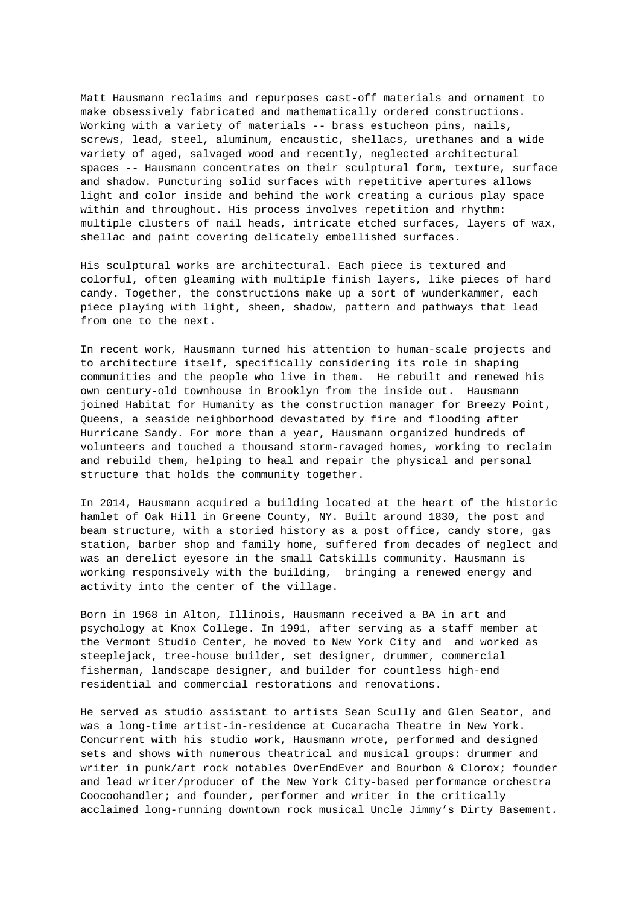Matt Hausmann reclaims and repurposes cast-off materials and ornament to make obsessively fabricated and mathematically ordered constructions. Working with a variety of materials -- brass estucheon pins, nails, screws, lead, steel, aluminum, encaustic, shellacs, urethanes and a wide variety of aged, salvaged wood and recently, neglected architectural spaces -- Hausmann concentrates on their sculptural form, texture, surface and shadow. Puncturing solid surfaces with repetitive apertures allows light and color inside and behind the work creating a curious play space within and throughout. His process involves repetition and rhythm: multiple clusters of nail heads, intricate etched surfaces, layers of wax, shellac and paint covering delicately embellished surfaces.

His sculptural works are architectural. Each piece is textured and colorful, often gleaming with multiple finish layers, like pieces of hard candy. Together, the constructions make up a sort of wunderkammer, each piece playing with light, sheen, shadow, pattern and pathways that lead from one to the next.

In recent work, Hausmann turned his attention to human-scale projects and to architecture itself, specifically considering its role in shaping communities and the people who live in them. He rebuilt and renewed his own century-old townhouse in Brooklyn from the inside out. Hausmann joined Habitat for Humanity as the construction manager for Breezy Point, Queens, a seaside neighborhood devastated by fire and flooding after Hurricane Sandy. For more than a year, Hausmann organized hundreds of volunteers and touched a thousand storm-ravaged homes, working to reclaim and rebuild them, helping to heal and repair the physical and personal structure that holds the community together.

In 2014, Hausmann acquired a building located at the heart of the historic hamlet of Oak Hill in Greene County, NY. Built around 1830, the post and beam structure, with a storied history as a post office, candy store, gas station, barber shop and family home, suffered from decades of neglect and was an derelict eyesore in the small Catskills community. Hausmann is working responsively with the building, bringing a renewed energy and activity into the center of the village.

Born in 1968 in Alton, Illinois, Hausmann received a BA in art and psychology at Knox College. In 1991, after serving as a staff member at the Vermont Studio Center, he moved to New York City and and worked as steeplejack, tree-house builder, set designer, drummer, commercial fisherman, landscape designer, and builder for countless high-end residential and commercial restorations and renovations.

He served as studio assistant to artists Sean Scully and Glen Seator, and was a long-time artist-in-residence at Cucaracha Theatre in New York. Concurrent with his studio work, Hausmann wrote, performed and designed sets and shows with numerous theatrical and musical groups: drummer and writer in punk/art rock notables OverEndEver and Bourbon & Clorox; founder and lead writer/producer of the New York City-based performance orchestra Coocoohandler; and founder, performer and writer in the critically acclaimed long-running downtown rock musical Uncle Jimmy's Dirty Basement.